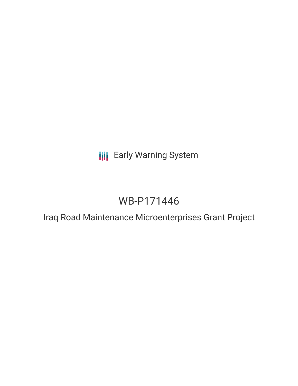# **III** Early Warning System

# WB-P171446

Iraq Road Maintenance Microenterprises Grant Project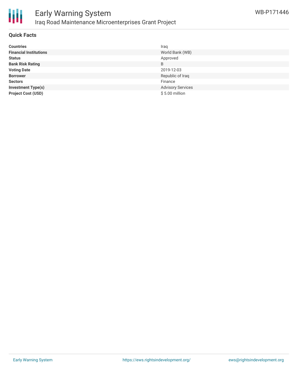

## Early Warning System Iraq Road Maintenance Microenterprises Grant Project

### **Quick Facts**

| <b>Countries</b>              | Iraq                     |
|-------------------------------|--------------------------|
| <b>Financial Institutions</b> | World Bank (WB)          |
| <b>Status</b>                 | Approved                 |
| <b>Bank Risk Rating</b>       | B                        |
| <b>Voting Date</b>            | 2019-12-03               |
| <b>Borrower</b>               | Republic of Iraq         |
| <b>Sectors</b>                | Finance                  |
| <b>Investment Type(s)</b>     | <b>Advisory Services</b> |
| <b>Project Cost (USD)</b>     | $$5.00$ million          |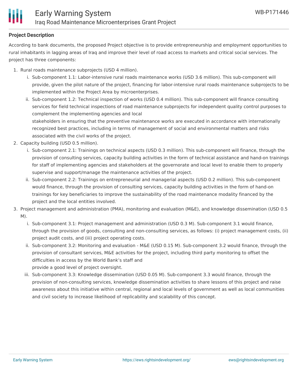### **Project Description**

According to bank documents, the proposed Project objective is to provide entrepreneurship and employment opportunities to rural inhabitants in lagging areas of Iraq and improve their level of road access to markets and critical social services. The project has three components:

- 1. Rural roads maintenance subprojects (USD 4 million).
	- i. Sub-component 1.1: Labor-intensive rural roads maintenance works (USD 3.6 million). This sub-component will provide, given the pilot nature of the project, financing for labor-intensive rural roads maintenance subprojects to be implemented within the Project Area by microenterprises.
	- ii. Sub-component 1.2: Technical inspection of works (USD 0.4 million). This sub-component will finance consulting services for field technical inspections of road maintenance subprojects for independent quality control purposes to complement the implementing agencies and local stakeholders in ensuring that the preventive maintenance works are executed in accordance with internationally

recognized best practices, including in terms of management of social and environmental matters and risks associated with the civil works of the project.

- 2. Capacity building (USD 0.5 million).
	- i. Sub-component 2.1: Trainings on technical aspects (USD 0.3 million). This sub-component will finance, through the provision of consulting services, capacity building activities in the form of technical assistance and hand-on trainings for staff of implementing agencies and stakeholders at the governorate and local level to enable them to properly supervise and support/manage the maintenance activities of the project.
	- ii. Sub-component 2.2: Trainings on entrepreneurial and managerial aspects (USD 0.2 million). This sub-component would finance, through the provision of consulting services, capacity building activities in the form of hand-on trainings for key beneficiaries to improve the sustainability of the road maintenance modality financed by the project and the local entities involved.
- 3. Project management and administration (PMA), monitoring and evaluation (M&E), and knowledge dissemination (USD 0.5 M).
	- i. Sub-component 3.1: Project management and administration (USD 0.3 M). Sub-component 3.1 would finance, through the provision of goods, consulting and non-consulting services, as follows: (i) project management costs, (ii) project audit costs, and (iii) project operating costs.
	- ii. Sub-component 3.2: Monitoring and evaluation M&E (USD 0.15 M). Sub-component 3.2 would finance, through the provision of consultant services, M&E activities for the project, including third party monitoring to offset the difficulties in access by the World Bank's staff and provide a good level of project oversight.
	- iii. Sub-component 3.3: Knowledge dissemination (USD 0.05 M). Sub-component 3.3 would finance, through the provision of non-consulting services, knowledge dissemination activities to share lessons of this project and raise awareness about this initiative within central, regional and local levels of government as well as local communities and civil society to increase likelihood of replicability and scalability of this concept.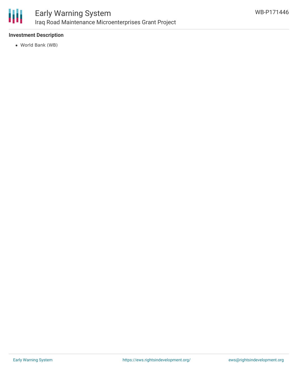

### **Investment Description**

World Bank (WB)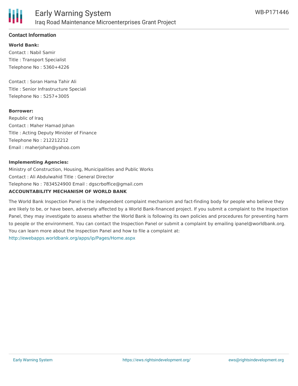

#### **Contact Information**

**World Bank:** Contact : Nabil Samir Title : Transport Specialist Telephone No : 5360+4226

Contact : Soran Hama Tahir Ali Title : Senior Infrastructure Speciali Telephone No : 5257+3005

#### **Borrower:**

Republic of Iraq Contact : Maher Hamad Johan Title : Acting Deputy Minister of Finance Telephone No : 212212212 Email : maherjohan@yahoo.com

#### **Implementing Agencies:**

Ministry of Construction, Housing, Municipalities and Public Works Contact : Ali Abdulwahid Title : General Director Telephone No : 7834524900 Email : dgscrboffice@gmail.com **ACCOUNTABILITY MECHANISM OF WORLD BANK**

The World Bank Inspection Panel is the independent complaint mechanism and fact-finding body for people who believe they are likely to be, or have been, adversely affected by a World Bank-financed project. If you submit a complaint to the Inspection Panel, they may investigate to assess whether the World Bank is following its own policies and procedures for preventing harm to people or the environment. You can contact the Inspection Panel or submit a complaint by emailing ipanel@worldbank.org. You can learn more about the Inspection Panel and how to file a complaint at:

<http://ewebapps.worldbank.org/apps/ip/Pages/Home.aspx>